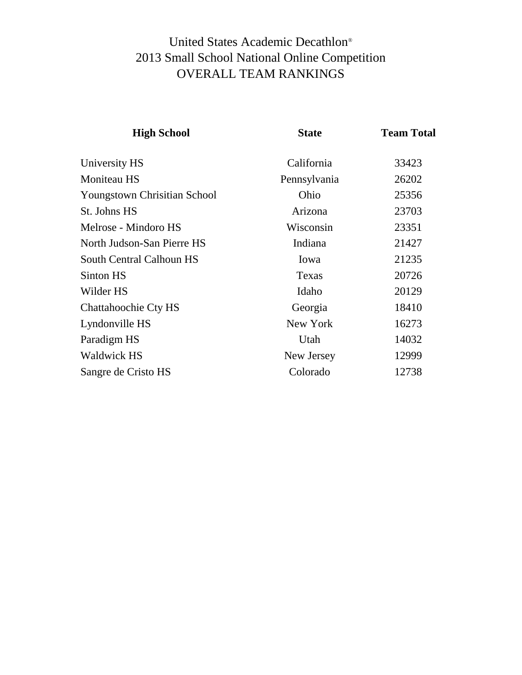## United States Academic Decathlon® 2013 Small School National Online Competition OVERALL TEAM RANKINGS

| <b>High School</b>           | <b>State</b> | <b>Team Total</b> |  |
|------------------------------|--------------|-------------------|--|
| University HS                | California   | 33423             |  |
| <b>Moniteau HS</b>           | Pennsylvania | 26202             |  |
| Youngstown Chrisitian School | Ohio         | 25356             |  |
| St. Johns HS                 | Arizona      | 23703             |  |
| Melrose - Mindoro HS         | Wisconsin    | 23351             |  |
| North Judson-San Pierre HS   | Indiana      | 21427             |  |
| South Central Calhoun HS     | Iowa         | 21235             |  |
| Sinton HS                    | Texas        | 20726             |  |
| Wilder HS                    | Idaho        | 20129             |  |
| Chattahoochie Cty HS         | Georgia      | 18410             |  |
| Lyndonville HS               | New York     | 16273             |  |
| Paradigm HS                  | Utah         | 14032             |  |
| <b>Waldwick HS</b>           | New Jersey   | 12999             |  |
| Sangre de Cristo HS          | Colorado     | 12738             |  |
|                              |              |                   |  |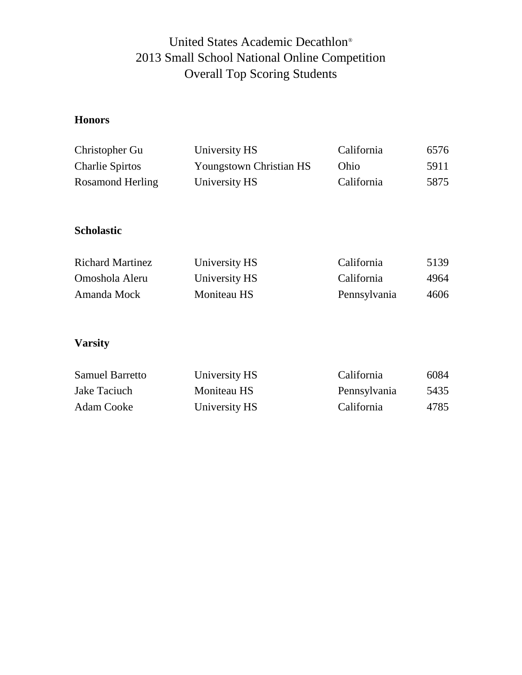## United States Academic Decathlon® 2013 Small School National Online Competition Overall Top Scoring Students

### **Honors**

| Christopher Gu         | University HS                  | California | 6576 |
|------------------------|--------------------------------|------------|------|
| <b>Charlie Spirtos</b> | <b>Youngstown Christian HS</b> | Ohio       | 5911 |
| Rosamond Herling       | University HS                  | California | 5875 |

#### **Scholastic**

| <b>Richard Martinez</b> | University HS | California   | 5139 |
|-------------------------|---------------|--------------|------|
| Omoshola Aleru          | University HS | California   | 4964 |
| Amanda Mock             | Moniteau HS   | Pennsylvania | 4606 |

### **Varsity**

| <b>Samuel Barretto</b> | University HS | California   | 6084 |
|------------------------|---------------|--------------|------|
| Jake Taciuch           | Moniteau HS   | Pennsylvania | 5435 |
| Adam Cooke             | University HS | California   | 4785 |